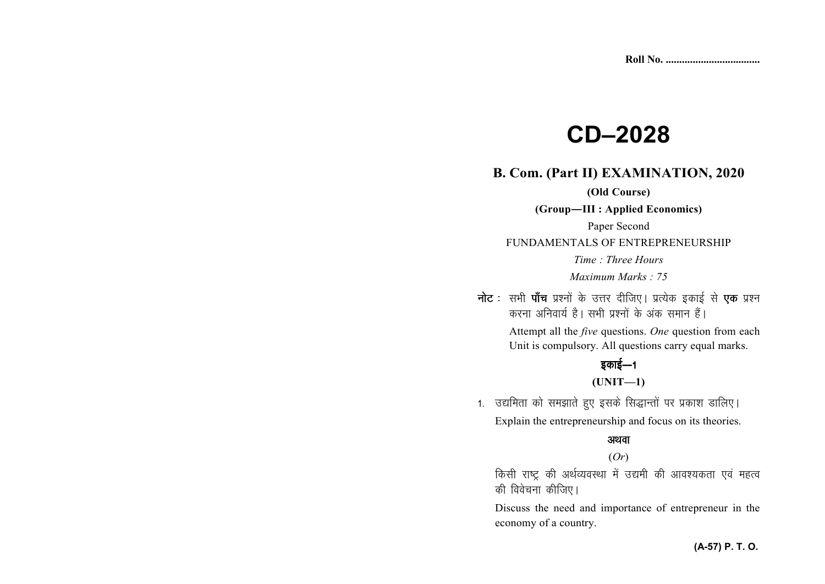# **CD–2028**

## **B. Com. (Part II) EXAMINATION, 2020**

## **(Old Course)**

**(Group—III : Applied Economics)** 

FUNDAMENTALS OF ENTREPRENEURSHIP

*Time : Three Hours Maximum Marks : 75* 

नोट : सभी पाँच प्रश्नों के उत्तर दीजिए। प्रत्येक इकाई से **एक** प्रश्न करना अनिवार्य है। सभी प्रश्नों के अंक समान हैं।

> Attempt all the *five* questions. *One* question from each Unit is compulsory. All questions carry equal marks.

# डकाई $-1$

# **(UNIT—1)**

1. उद्यमिता को समझाते हुए इसके सिद्धान्तों पर प्रकाश डालिए। Explain the entrepreneurship and focus on its theories.

## अथवा

# (*Or*)

किसी राष्ट्र की अर्थव्यवस्था में उद्यमी की आवश्यकता एवं महत्व की विवेचना कीजिए।

Discuss the need and importance of entrepreneur in the economy of a country.

Paper Second